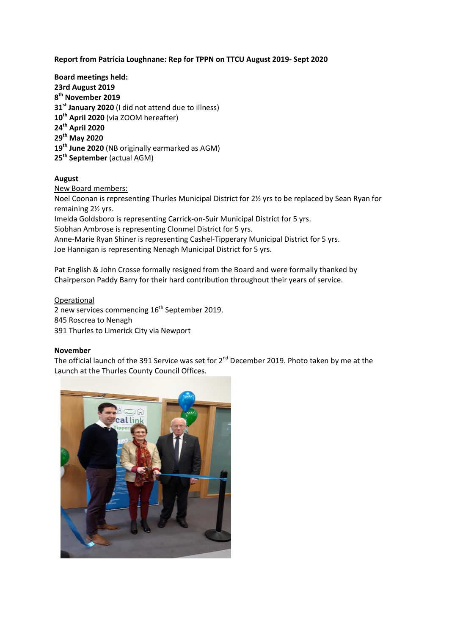# **Report from Patricia Loughnane: Rep for TPPN on TTCU August 2019- Sept 2020**

**Board meetings held: 23rd August 2019 th November 2019 st January 2020** (I did not attend due to illness) **th April 2020** (via ZOOM hereafter) **th April 2020 th May 2020 th June 2020** (NB originally earmarked as AGM) **th September** (actual AGM)

# **August**

# New Board members:

Noel Coonan is representing Thurles Municipal District for 2½ yrs to be replaced by Sean Ryan for remaining 2½ yrs.

Imelda Goldsboro is representing Carrick-on-Suir Municipal District for 5 yrs.

Siobhan Ambrose is representing Clonmel District for 5 yrs.

Anne-Marie Ryan Shiner is representing Cashel-Tipperary Municipal District for 5 yrs. Joe Hannigan is representing Nenagh Municipal District for 5 yrs.

Pat English & John Crosse formally resigned from the Board and were formally thanked by Chairperson Paddy Barry for their hard contribution throughout their years of service.

Operational 2 new services commencing  $16<sup>th</sup>$  September 2019. 845 Roscrea to Nenagh 391 Thurles to Limerick City via Newport

### **November**

The official launch of the 391 Service was set for  $2^{nd}$  December 2019. Photo taken by me at the Launch at the Thurles County Council Offices.